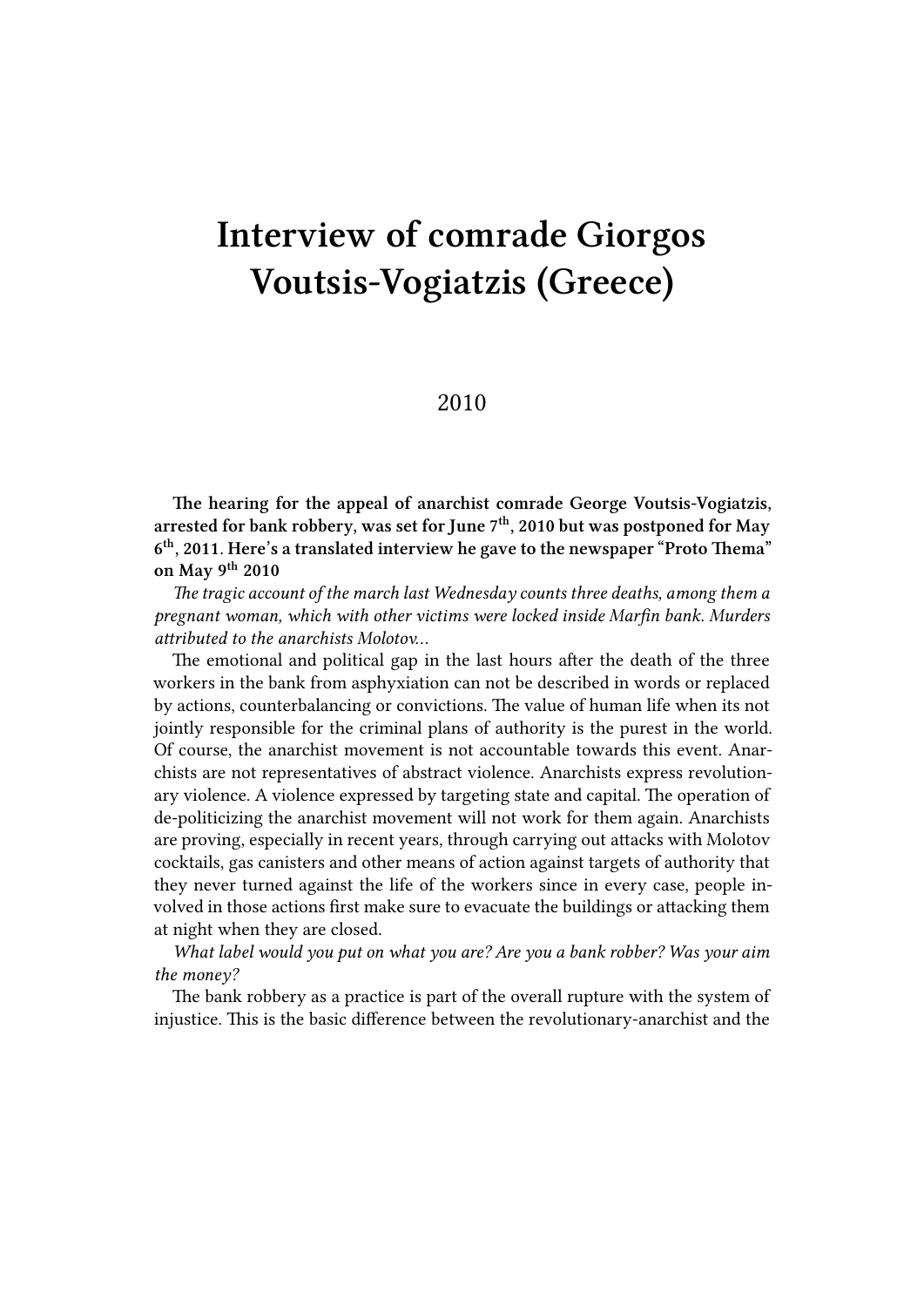## **Interview of comrade Giorgos Voutsis-Vogiatzis (Greece)**

## 2010

**The hearing for the appeal of anarchist comrade George Voutsis-Vogiatzis, arrested for bank robbery, was set for June 7th, 2010 but was postponed for May 6 th, 2011. Here's a translated interview he gave to the newspaper "Proto Thema" on May 9th 2010**

*The tragic account of the march last Wednesday counts three deaths, among them a pregnant woman, which with other victims were locked inside Marfin bank. Murders attributed to the anarchists Molotov…*

The emotional and political gap in the last hours after the death of the three workers in the bank from asphyxiation can not be described in words or replaced by actions, counterbalancing or convictions. The value of human life when its not jointly responsible for the criminal plans of authority is the purest in the world. Of course, the anarchist movement is not accountable towards this event. Anarchists are not representatives of abstract violence. Anarchists express revolutionary violence. A violence expressed by targeting state and capital. The operation of de-politicizing the anarchist movement will not work for them again. Anarchists are proving, especially in recent years, through carrying out attacks with Molotov cocktails, gas canisters and other means of action against targets of authority that they never turned against the life of the workers since in every case, people involved in those actions first make sure to evacuate the buildings or attacking them at night when they are closed.

*What label would you put on what you are? Are you a bank robber? Was your aim the money?*

The bank robbery as a practice is part of the overall rupture with the system of injustice. This is the basic difference between the revolutionary-anarchist and the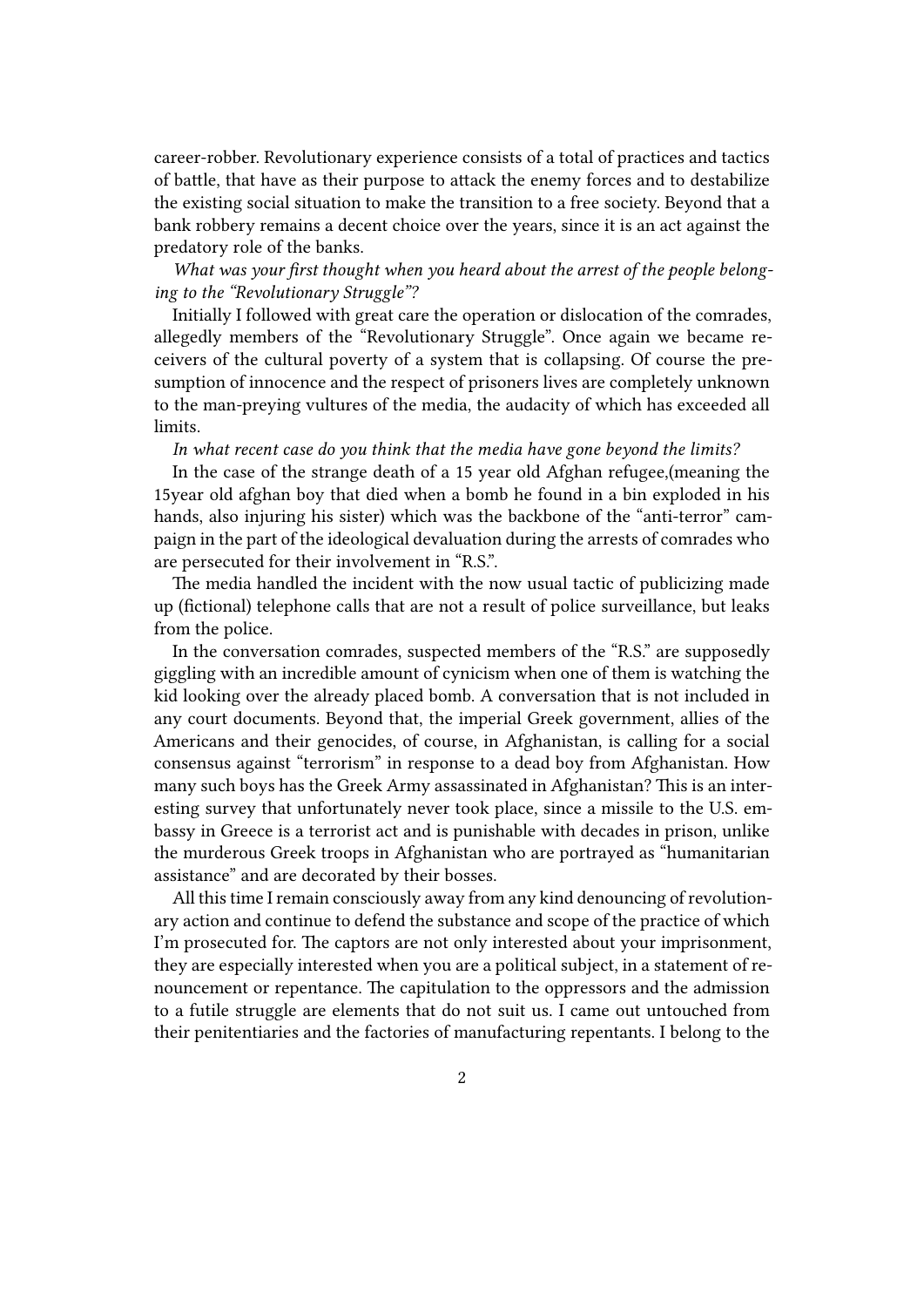career-robber. Revolutionary experience consists of a total of practices and tactics of battle, that have as their purpose to attack the enemy forces and to destabilize the existing social situation to make the transition to a free society. Beyond that a bank robbery remains a decent choice over the years, since it is an act against the predatory role of the banks.

*What was your first thought when you heard about the arrest of the people belonging to the "Revolutionary Struggle"?*

Initially I followed with great care the operation or dislocation of the comrades, allegedly members of the "Revolutionary Struggle". Once again we became receivers of the cultural poverty of a system that is collapsing. Of course the presumption of innocence and the respect of prisoners lives are completely unknown to the man-preying vultures of the media, the audacity of which has exceeded all limits.

*In what recent case do you think that the media have gone beyond the limits?*

In the case of the strange death of a 15 year old Afghan refugee,(meaning the 15year old afghan boy that died when a bomb he found in a bin exploded in his hands, also injuring his sister) which was the backbone of the "anti-terror" campaign in the part of the ideological devaluation during the arrests of comrades who are persecuted for their involvement in "R.S.".

The media handled the incident with the now usual tactic of publicizing made up (fictional) telephone calls that are not a result of police surveillance, but leaks from the police.

In the conversation comrades, suspected members of the "R.S." are supposedly giggling with an incredible amount of cynicism when one of them is watching the kid looking over the already placed bomb. A conversation that is not included in any court documents. Beyond that, the imperial Greek government, allies of the Americans and their genocides, of course, in Afghanistan, is calling for a social consensus against "terrorism" in response to a dead boy from Afghanistan. How many such boys has the Greek Army assassinated in Afghanistan? This is an interesting survey that unfortunately never took place, since a missile to the U.S. embassy in Greece is a terrorist act and is punishable with decades in prison, unlike the murderous Greek troops in Afghanistan who are portrayed as "humanitarian assistance" and are decorated by their bosses.

All this time I remain consciously away from any kind denouncing of revolutionary action and continue to defend the substance and scope of the practice of which I'm prosecuted for. The captors are not only interested about your imprisonment, they are especially interested when you are a political subject, in a statement of renouncement or repentance. The capitulation to the oppressors and the admission to a futile struggle are elements that do not suit us. I came out untouched from their penitentiaries and the factories of manufacturing repentants. I belong to the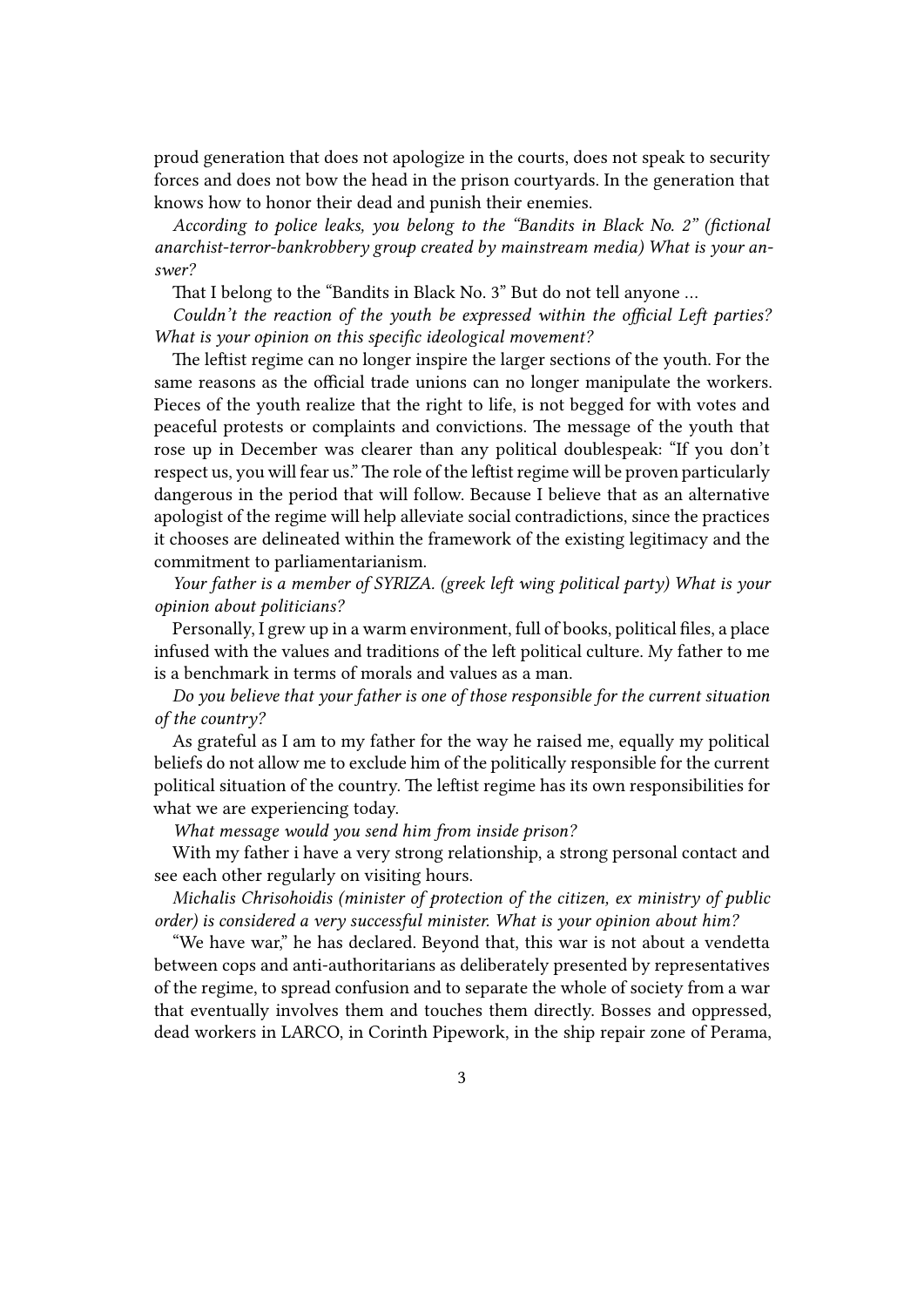proud generation that does not apologize in the courts, does not speak to security forces and does not bow the head in the prison courtyards. In the generation that knows how to honor their dead and punish their enemies.

*According to police leaks, you belong to the "Bandits in Black No. 2" (fictional anarchist-terror-bankrobbery group created by mainstream media) What is your answer?*

That I belong to the "Bandits in Black No. 3" But do not tell anyone …

*Couldn't the reaction of the youth be expressed within the official Left parties? What is your opinion on this specific ideological movement?*

The leftist regime can no longer inspire the larger sections of the youth. For the same reasons as the official trade unions can no longer manipulate the workers. Pieces of the youth realize that the right to life, is not begged for with votes and peaceful protests or complaints and convictions. The message of the youth that rose up in December was clearer than any political doublespeak: "If you don't respect us, you will fear us." The role of the leftist regime will be proven particularly dangerous in the period that will follow. Because I believe that as an alternative apologist of the regime will help alleviate social contradictions, since the practices it chooses are delineated within the framework of the existing legitimacy and the commitment to parliamentarianism.

*Your father is a member of SYRIZA. (greek left wing political party) What is your opinion about politicians?*

Personally, I grew up in a warm environment, full of books, political files, a place infused with the values and traditions of the left political culture. My father to me is a benchmark in terms of morals and values as a man.

*Do you believe that your father is one of those responsible for the current situation of the country?*

As grateful as I am to my father for the way he raised me, equally my political beliefs do not allow me to exclude him of the politically responsible for the current political situation of the country. The leftist regime has its own responsibilities for what we are experiencing today.

*What message would you send him from inside prison?*

With my father i have a very strong relationship, a strong personal contact and see each other regularly on visiting hours.

*Michalis Chrisohoidis (minister of protection of the citizen, ex ministry of public order) is considered a very successful minister. What is your opinion about him?*

"We have war," he has declared. Beyond that, this war is not about a vendetta between cops and anti-authoritarians as deliberately presented by representatives of the regime, to spread confusion and to separate the whole of society from a war that eventually involves them and touches them directly. Bosses and oppressed, dead workers in LARCO, in Corinth Pipework, in the ship repair zone of Perama,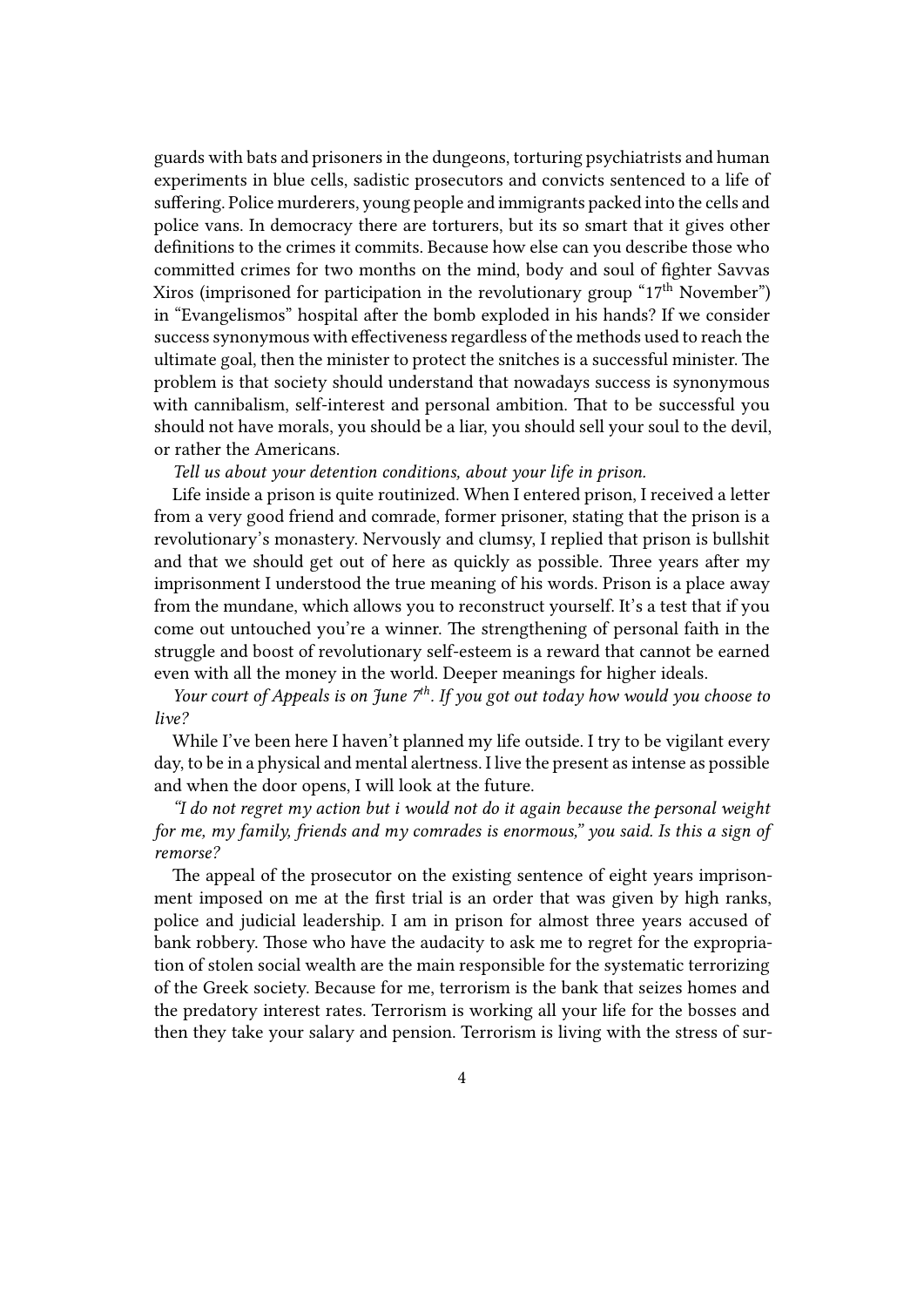guards with bats and prisoners in the dungeons, torturing psychiatrists and human experiments in blue cells, sadistic prosecutors and convicts sentenced to a life of suffering. Police murderers, young people and immigrants packed into the cells and police vans. In democracy there are torturers, but its so smart that it gives other definitions to the crimes it commits. Because how else can you describe those who committed crimes for two months on the mind, body and soul of fighter Savvas Xiros (imprisoned for participation in the revolutionary group " $17<sup>th</sup>$  November") in "Evangelismos" hospital after the bomb exploded in his hands? If we consider success synonymous with effectiveness regardless of the methods used to reach the ultimate goal, then the minister to protect the snitches is a successful minister. The problem is that society should understand that nowadays success is synonymous with cannibalism, self-interest and personal ambition. That to be successful you should not have morals, you should be a liar, you should sell your soul to the devil, or rather the Americans.

*Tell us about your detention conditions, about your life in prison.*

Life inside a prison is quite routinized. When I entered prison, I received a letter from a very good friend and comrade, former prisoner, stating that the prison is a revolutionary's monastery. Nervously and clumsy, I replied that prison is bullshit and that we should get out of here as quickly as possible. Three years after my imprisonment I understood the true meaning of his words. Prison is a place away from the mundane, which allows you to reconstruct yourself. It's a test that if you come out untouched you're a winner. The strengthening of personal faith in the struggle and boost of revolutionary self-esteem is a reward that cannot be earned even with all the money in the world. Deeper meanings for higher ideals.

*Your court of Appeals is on June 7th. If you got out today how would you choose to live?*

While I've been here I haven't planned my life outside. I try to be vigilant every day, to be in a physical and mental alertness. I live the present as intense as possible and when the door opens, I will look at the future.

*"I do not regret my action but i would not do it again because the personal weight for me, my family, friends and my comrades is enormous," you said. Is this a sign of remorse?*

The appeal of the prosecutor on the existing sentence of eight years imprisonment imposed on me at the first trial is an order that was given by high ranks, police and judicial leadership. I am in prison for almost three years accused of bank robbery. Those who have the audacity to ask me to regret for the expropriation of stolen social wealth are the main responsible for the systematic terrorizing of the Greek society. Because for me, terrorism is the bank that seizes homes and the predatory interest rates. Terrorism is working all your life for the bosses and then they take your salary and pension. Terrorism is living with the stress of sur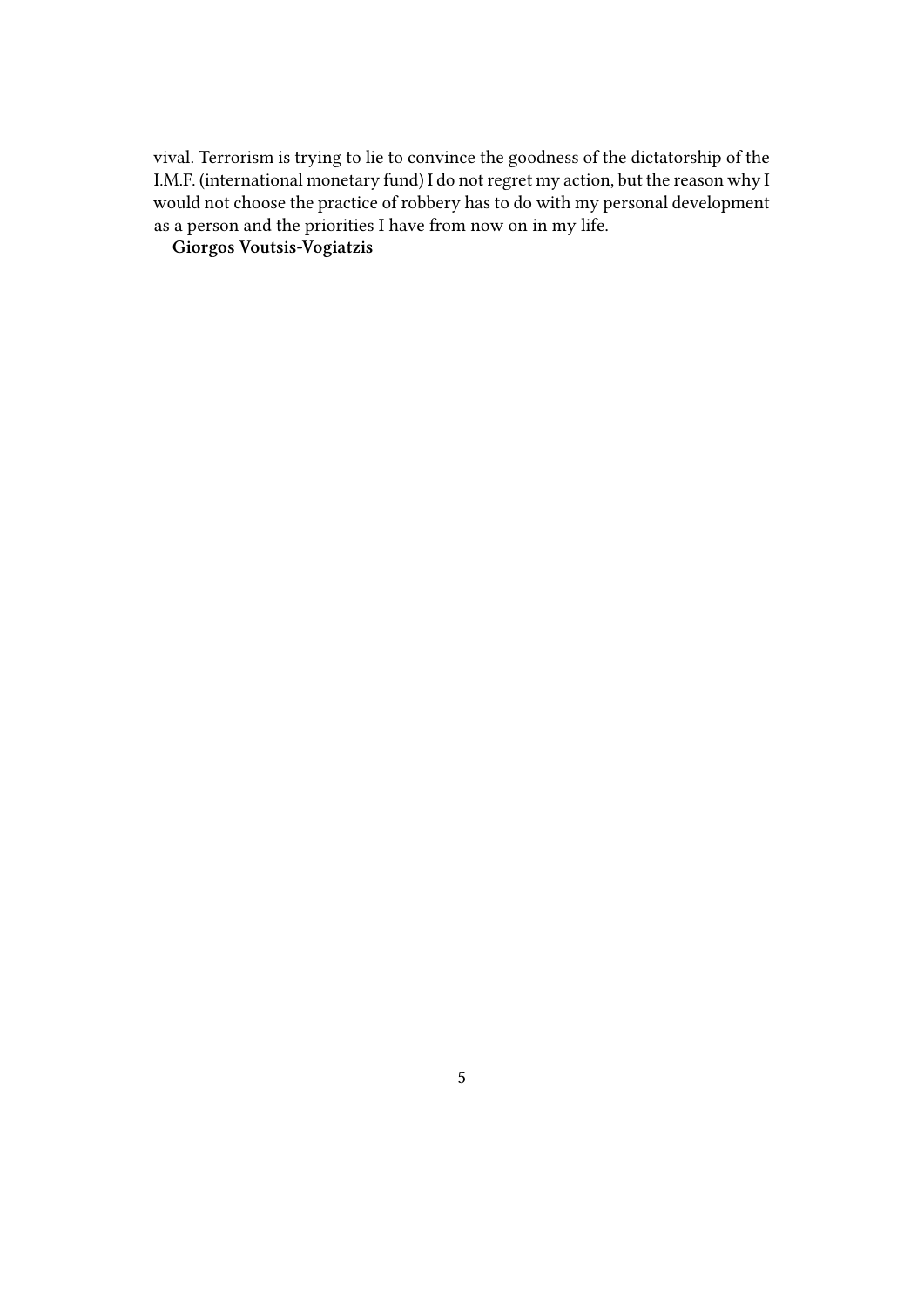vival. Terrorism is trying to lie to convince the goodness of the dictatorship of the I.M.F. (international monetary fund) I do not regret my action, but the reason why I would not choose the practice of robbery has to do with my personal development as a person and the priorities I have from now on in my life.

**Giorgos Voutsis-Vogiatzis**